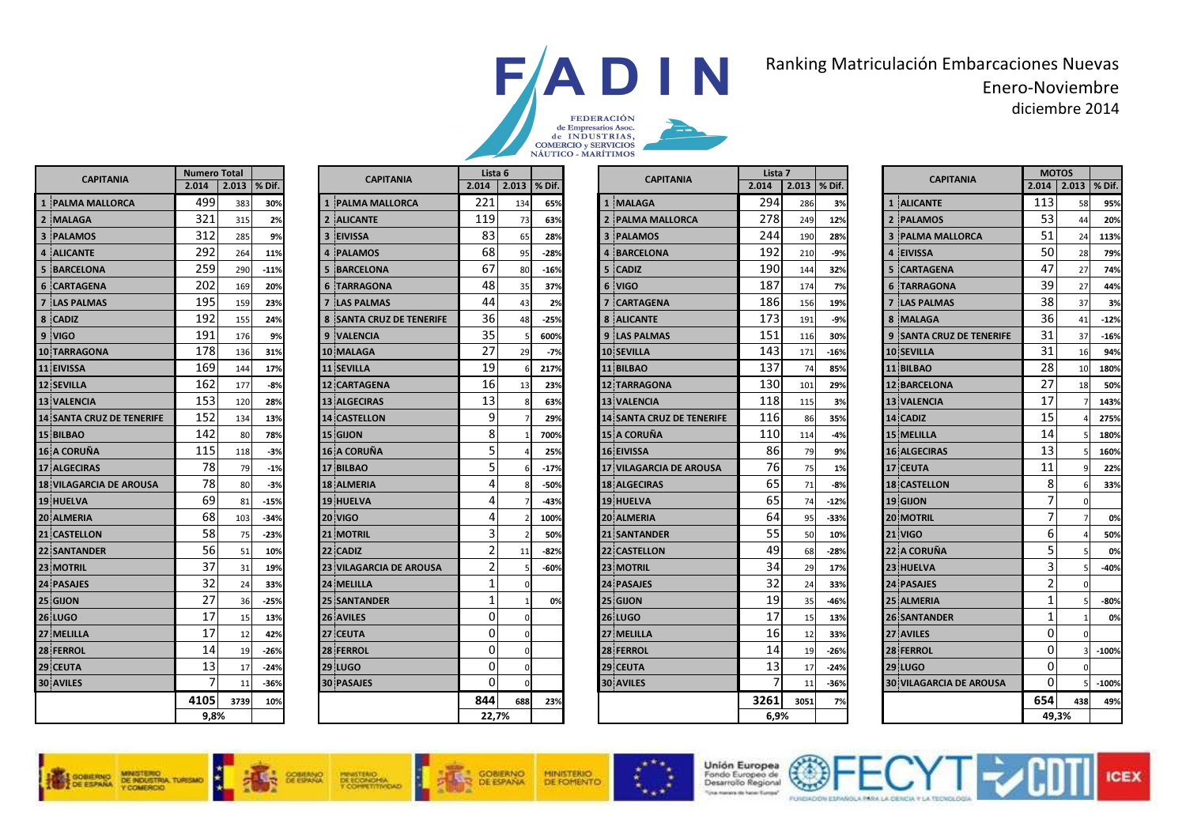

## Ranking Matriculación Embarcaciones Nuevas Enero-Noviembrediciembre 2014

|                | <b>CAPITANIA</b>                 | <b>Numero Total</b> |       |        |
|----------------|----------------------------------|---------------------|-------|--------|
|                |                                  | 2.014               | 2.013 | % Dif. |
| $\mathbf{1}$   | <b>PALMA MALLORCA</b>            | 499                 | 383   | 30%    |
| $\overline{2}$ | <b>MALAGA</b>                    | 321                 | 315   | 2%     |
| 3              | <b>PALAMOS</b>                   | 312                 | 285   | 9%     |
| 4              | <b>ALICANTE</b>                  | 292                 | 264   | 11%    |
| 5              | <b>BARCELONA</b>                 | 259                 | 290   | $-11%$ |
| 6              | <b>CARTAGENA</b>                 | 202                 | 169   | 20%    |
| $\overline{ }$ | <b>LAS PALMAS</b>                | 195                 | 159   | 23%    |
| 8              | <b>CADIZ</b>                     | 192                 | 155   | 24%    |
|                | 9 VIGO                           | 191                 | 176   | 9%     |
|                | <b>10 TARRAGONA</b>              | 178                 | 136   | 31%    |
|                | <b>11 EIVISSA</b>                | 169                 | 144   | 17%    |
|                | <b>12 SEVILLA</b>                | 162                 | 177   | $-8%$  |
|                | <b>13 VALENCIA</b>               | 153                 | 120   | 28%    |
|                | <b>14 SANTA CRUZ DE TENERIFE</b> | 152                 | 134   | 13%    |
|                | <b>15 BILBAO</b>                 | 142                 | 80    | 78%    |
|                | <b>16 A CORUÑA</b>               | 115                 | 118   | $-3%$  |
|                | <b>17 ALGECIRAS</b>              | 78                  | 79    | $-1%$  |
|                | <b>18 VILAGARCIA DE AROUSA</b>   | 78                  | 80    | $-3%$  |
|                | <b>19 HUELVA</b>                 | 69                  | 81    | $-15%$ |
|                | 20 ALMERIA                       | 68                  | 103   | $-34%$ |
|                | <b>21 CASTELLON</b>              | 58                  | 75    | $-23%$ |
|                | <b>22 SANTANDER</b>              | 56                  | 51    | 10%    |
|                | <b>23 MOTRIL</b>                 | 37                  | 31    | 19%    |
|                | <b>24 PASAJES</b>                | 32                  | 24    | 33%    |
|                | 25 GIJON                         | 27                  | 36    | $-25%$ |
|                | <b>26 LUGO</b>                   | 17                  | 15    | 13%    |
|                | 27 MELILLA                       | 17                  | 12    | 42%    |
|                | <b>28 FERROL</b>                 | 14                  | 19    | $-26%$ |
|                | 29 CEUTA                         | 13                  | 17    | $-24%$ |
|                | <b>30 AVILES</b>                 | 7                   | 11    | $-36%$ |
|                |                                  | 4105                | 3739  | 10%    |
|                |                                  | 9.8%                |       |        |

| $2.013$ $\%$ Dif.<br>2.014<br>$2.013$ % Dif.<br>2.014<br>$2.013$ % Dif.<br>$2.014$   2.<br>113<br>221<br>294<br>1 MALAGA<br>1 ALICANTE<br>$\mathbf{1}$<br><b>PALMA MALLORCA</b><br>383<br>30%<br>134<br>65%<br>286<br>3%<br>53<br>119<br>278<br>2 ALICANTE<br>2 PALMA MALLORCA<br>315<br>2%<br>73<br>63%<br>249<br>12%<br>2 PALAMOS<br>51<br>83<br>244<br><b>EIVISSA</b><br>285<br>3<br><b>3 PALAMOS</b><br><b>3 PALMA MALLORCA</b><br>9%<br>65<br>28%<br>190<br>28%<br>50<br>68<br>192<br>4<br><b>PALAMOS</b><br>$\overline{\mathbf{4}}$<br><b>BARCELONA</b><br><b>EIVISSA</b><br>$-28%$<br>$-9%$<br>$\Delta$<br>264<br>11%<br>95<br>210<br>47<br>67<br>190<br>290<br>5<br>$-16%$<br>5<br><b>CADIZ</b><br>32%<br>$-11%$<br><b>BARCELONA</b><br>80<br>5<br><b>CARTAGENA</b><br>144<br>48<br>39<br>187<br>37%<br>6 VIGO<br>20%<br>6<br><b>TARRAGONA</b><br>35<br>174<br>7%<br><b>6 TARRAGONA</b><br>169<br>38<br>44<br>186<br><b>CARTAGENA</b><br><b>7 LAS PALMAS</b><br>159<br>23%<br><b>LAS PALMAS</b><br>43<br>2%<br>156<br>19%<br>36<br>36<br>173<br><b>8 SANTA CRUZ DE TENERIFE</b><br>8 ALICANTE<br>8 MALAGA<br>155<br>24%<br>48<br>$-25%$<br>191<br>$-9%$<br>35<br>31<br>151<br>9 LAS PALMAS<br><b>9 SANTA CRUZ DE TENERIFE</b><br>176<br>9 VALENCIA<br>9%<br>600%<br>116<br>30%<br>27<br>31<br>143<br><b>10 MALAGA</b><br><b>10 SEVILLA</b><br><b>10 SEVILLA</b><br>136<br>31%<br>29<br>$-7%$<br>$-16%$<br>171<br>28<br>19<br>137<br><b>11 SEVILLA</b><br>217%<br>11 BILBAO<br>85%<br><b>11 BILBAO</b><br>17%<br>74<br>144<br>6<br>27<br>16<br>130<br>177<br><b>12 CARTAGENA</b><br><b>12 TARRAGONA</b><br><b>12 BARCELONA</b><br>$-8%$<br>13<br>23%<br>101<br>29%<br>13<br>17<br>118<br><b>13 ALGECIRAS</b><br><b>13 VALENCIA</b><br><b>13 VALENCIA</b><br>120<br>28%<br>63%<br>115<br>3%<br>8<br>9<br>15<br>116<br>14 CADIZ<br><b>14 CASTELLON</b><br><b>14 SANTA CRUZ DE TENERIFE</b><br>134<br>13%<br>29%<br>35%<br>86<br>8<br>110<br>14<br>15 GIJON<br>700%<br><b>15 A CORUÑA</b><br><b>15 MELILLA</b><br>80<br>78%<br>114<br>$-4%$<br>-1<br>5<br>13<br>86<br>16 A CORUÑA<br><b>16 EIVISSA</b><br><b>16 ALGECIRAS</b><br>118<br>$-3%$<br>25%<br>79<br>9%<br>5<br>76<br>11<br><b>17 CEUTA</b><br>79<br>$-1%$<br><b>17 BILBAO</b><br><b>17 VILAGARCIA DE AROUSA</b><br>$-17%$<br>75<br>1%<br>6<br>8<br>4<br>65<br>$-3%$<br><b>18 ALMERIA</b><br><b>18 ALGECIRAS</b><br>71<br><b>18 CASTELLON</b><br>80<br>$-50%$<br>$-8%$<br>8<br>7<br>65<br>4<br>81<br><b>19 HUELVA</b><br><b>19 HUELVA</b><br>74<br>$-12%$<br>19 GIJON<br>$-15%$<br>-43%<br>7<br>64<br>4<br><b>20 VIGO</b><br>103<br>100%<br><b>20 ALMERIA</b><br>95<br>$-33%$<br><b>20 MOTRIL</b><br>$-34%$<br>$\overline{2}$<br>3<br>6<br>55<br><b>21 VIGO</b><br>75<br><b>21 MOTRIL</b><br><b>21 SANTANDER</b><br>$-23%$<br>50%<br>50<br>10%<br>$\overline{2}$<br>5<br>2<br>49<br>22 CADIZ<br><b>22 A CORUÑA</b><br>51<br>$-82%$<br><b>22 CASTELLON</b><br>$-28%$<br>10%<br>11<br>68<br>3<br>2<br>34<br>23 MOTRIL<br><b>23 HUELVA</b><br><b>23 VILAGARCIA DE AROUSA</b><br>$-60%$<br>29<br>31<br>19%<br>17%<br>2<br>32<br>1<br><b>24 MELILLA</b><br>33%<br><b>24 PASAJES</b><br>33%<br><b>24 PASAJES</b><br>24<br>$\Omega$<br>24<br>$\mathbf{1}$<br>19<br>$\mathbf{1}$<br>36<br>$-25%$<br><b>25 SANTANDER</b><br>0%<br>25 GIJON<br>$-46%$<br><b>25 ALMERIA</b><br>35<br>0<br>17<br>$\mathbf{1}$<br><b>26 AVILES</b><br>$\mathbf 0$<br><b>26 LUGO</b><br><b>26 SANTANDER</b><br>15<br>13%<br>15<br>13%<br>$\Omega$<br>0<br>16<br>27 CEUTA<br><b>27 AVILES</b><br><b>27 MELILLA</b><br>12<br>42%<br>0<br>12<br>33%<br>$\Omega$<br>0<br>14<br><b>28 FERROL</b><br><b>28 FERROL</b><br><b>28 FERROL</b><br>19<br>$-26%$<br>$\mathbf 0$<br>$-26%$<br>19<br>$\Omega$<br>0<br>13<br><b>29 LUGO</b><br>$\mathbf 0$<br>29 CEUTA<br><b>29 LUGO</b><br>17<br>$-24%$<br>$-24%$<br>17<br>$\Omega$<br>$\Omega$<br>7<br><b>30 PASAJES</b><br><b>30 AVILES</b><br><b>30 VILAGARCIA DE AROUSA</b><br>$\mathbf 0$<br>$-36%$<br>11<br>$-36%$<br>11<br>654<br>844<br>3261<br>688<br>3739<br>23%<br>3051<br>7%<br>10%<br>22,7%<br>6,9%<br>49,3% | Total | <b>CAPITANIA</b> | Lista 6 |  | <b>CAPITANIA</b> | Lista 7 |  | <b>CAPITANIA</b> | MOTO: |  |
|-------------------------------------------------------------------------------------------------------------------------------------------------------------------------------------------------------------------------------------------------------------------------------------------------------------------------------------------------------------------------------------------------------------------------------------------------------------------------------------------------------------------------------------------------------------------------------------------------------------------------------------------------------------------------------------------------------------------------------------------------------------------------------------------------------------------------------------------------------------------------------------------------------------------------------------------------------------------------------------------------------------------------------------------------------------------------------------------------------------------------------------------------------------------------------------------------------------------------------------------------------------------------------------------------------------------------------------------------------------------------------------------------------------------------------------------------------------------------------------------------------------------------------------------------------------------------------------------------------------------------------------------------------------------------------------------------------------------------------------------------------------------------------------------------------------------------------------------------------------------------------------------------------------------------------------------------------------------------------------------------------------------------------------------------------------------------------------------------------------------------------------------------------------------------------------------------------------------------------------------------------------------------------------------------------------------------------------------------------------------------------------------------------------------------------------------------------------------------------------------------------------------------------------------------------------------------------------------------------------------------------------------------------------------------------------------------------------------------------------------------------------------------------------------------------------------------------------------------------------------------------------------------------------------------------------------------------------------------------------------------------------------------------------------------------------------------------------------------------------------------------------------------------------------------------------------------------------------------------------------------------------------------------------------------------------------------------------------------------------------------------------------------------------------------------------------------------------------------------------------------------------------------------------------------------------------------------------------------------------------------------------------------------------------------------------------------------------------------------------------------------------------------------------------------------------------------------------------------------------------------------------------------------------------------------------------------------------------------------------------------------------------------------------------------------------------------------------------|-------|------------------|---------|--|------------------|---------|--|------------------|-------|--|
|                                                                                                                                                                                                                                                                                                                                                                                                                                                                                                                                                                                                                                                                                                                                                                                                                                                                                                                                                                                                                                                                                                                                                                                                                                                                                                                                                                                                                                                                                                                                                                                                                                                                                                                                                                                                                                                                                                                                                                                                                                                                                                                                                                                                                                                                                                                                                                                                                                                                                                                                                                                                                                                                                                                                                                                                                                                                                                                                                                                                                                                                                                                                                                                                                                                                                                                                                                                                                                                                                                                                                                                                                                                                                                                                                                                                                                                                                                                                                                                                                                                                                           |       |                  |         |  |                  |         |  |                  |       |  |
|                                                                                                                                                                                                                                                                                                                                                                                                                                                                                                                                                                                                                                                                                                                                                                                                                                                                                                                                                                                                                                                                                                                                                                                                                                                                                                                                                                                                                                                                                                                                                                                                                                                                                                                                                                                                                                                                                                                                                                                                                                                                                                                                                                                                                                                                                                                                                                                                                                                                                                                                                                                                                                                                                                                                                                                                                                                                                                                                                                                                                                                                                                                                                                                                                                                                                                                                                                                                                                                                                                                                                                                                                                                                                                                                                                                                                                                                                                                                                                                                                                                                                           |       |                  |         |  |                  |         |  |                  |       |  |
|                                                                                                                                                                                                                                                                                                                                                                                                                                                                                                                                                                                                                                                                                                                                                                                                                                                                                                                                                                                                                                                                                                                                                                                                                                                                                                                                                                                                                                                                                                                                                                                                                                                                                                                                                                                                                                                                                                                                                                                                                                                                                                                                                                                                                                                                                                                                                                                                                                                                                                                                                                                                                                                                                                                                                                                                                                                                                                                                                                                                                                                                                                                                                                                                                                                                                                                                                                                                                                                                                                                                                                                                                                                                                                                                                                                                                                                                                                                                                                                                                                                                                           |       |                  |         |  |                  |         |  |                  |       |  |
|                                                                                                                                                                                                                                                                                                                                                                                                                                                                                                                                                                                                                                                                                                                                                                                                                                                                                                                                                                                                                                                                                                                                                                                                                                                                                                                                                                                                                                                                                                                                                                                                                                                                                                                                                                                                                                                                                                                                                                                                                                                                                                                                                                                                                                                                                                                                                                                                                                                                                                                                                                                                                                                                                                                                                                                                                                                                                                                                                                                                                                                                                                                                                                                                                                                                                                                                                                                                                                                                                                                                                                                                                                                                                                                                                                                                                                                                                                                                                                                                                                                                                           |       |                  |         |  |                  |         |  |                  |       |  |
|                                                                                                                                                                                                                                                                                                                                                                                                                                                                                                                                                                                                                                                                                                                                                                                                                                                                                                                                                                                                                                                                                                                                                                                                                                                                                                                                                                                                                                                                                                                                                                                                                                                                                                                                                                                                                                                                                                                                                                                                                                                                                                                                                                                                                                                                                                                                                                                                                                                                                                                                                                                                                                                                                                                                                                                                                                                                                                                                                                                                                                                                                                                                                                                                                                                                                                                                                                                                                                                                                                                                                                                                                                                                                                                                                                                                                                                                                                                                                                                                                                                                                           |       |                  |         |  |                  |         |  |                  |       |  |
|                                                                                                                                                                                                                                                                                                                                                                                                                                                                                                                                                                                                                                                                                                                                                                                                                                                                                                                                                                                                                                                                                                                                                                                                                                                                                                                                                                                                                                                                                                                                                                                                                                                                                                                                                                                                                                                                                                                                                                                                                                                                                                                                                                                                                                                                                                                                                                                                                                                                                                                                                                                                                                                                                                                                                                                                                                                                                                                                                                                                                                                                                                                                                                                                                                                                                                                                                                                                                                                                                                                                                                                                                                                                                                                                                                                                                                                                                                                                                                                                                                                                                           |       |                  |         |  |                  |         |  |                  |       |  |
|                                                                                                                                                                                                                                                                                                                                                                                                                                                                                                                                                                                                                                                                                                                                                                                                                                                                                                                                                                                                                                                                                                                                                                                                                                                                                                                                                                                                                                                                                                                                                                                                                                                                                                                                                                                                                                                                                                                                                                                                                                                                                                                                                                                                                                                                                                                                                                                                                                                                                                                                                                                                                                                                                                                                                                                                                                                                                                                                                                                                                                                                                                                                                                                                                                                                                                                                                                                                                                                                                                                                                                                                                                                                                                                                                                                                                                                                                                                                                                                                                                                                                           |       |                  |         |  |                  |         |  |                  |       |  |
|                                                                                                                                                                                                                                                                                                                                                                                                                                                                                                                                                                                                                                                                                                                                                                                                                                                                                                                                                                                                                                                                                                                                                                                                                                                                                                                                                                                                                                                                                                                                                                                                                                                                                                                                                                                                                                                                                                                                                                                                                                                                                                                                                                                                                                                                                                                                                                                                                                                                                                                                                                                                                                                                                                                                                                                                                                                                                                                                                                                                                                                                                                                                                                                                                                                                                                                                                                                                                                                                                                                                                                                                                                                                                                                                                                                                                                                                                                                                                                                                                                                                                           |       |                  |         |  |                  |         |  |                  |       |  |
|                                                                                                                                                                                                                                                                                                                                                                                                                                                                                                                                                                                                                                                                                                                                                                                                                                                                                                                                                                                                                                                                                                                                                                                                                                                                                                                                                                                                                                                                                                                                                                                                                                                                                                                                                                                                                                                                                                                                                                                                                                                                                                                                                                                                                                                                                                                                                                                                                                                                                                                                                                                                                                                                                                                                                                                                                                                                                                                                                                                                                                                                                                                                                                                                                                                                                                                                                                                                                                                                                                                                                                                                                                                                                                                                                                                                                                                                                                                                                                                                                                                                                           |       |                  |         |  |                  |         |  |                  |       |  |
|                                                                                                                                                                                                                                                                                                                                                                                                                                                                                                                                                                                                                                                                                                                                                                                                                                                                                                                                                                                                                                                                                                                                                                                                                                                                                                                                                                                                                                                                                                                                                                                                                                                                                                                                                                                                                                                                                                                                                                                                                                                                                                                                                                                                                                                                                                                                                                                                                                                                                                                                                                                                                                                                                                                                                                                                                                                                                                                                                                                                                                                                                                                                                                                                                                                                                                                                                                                                                                                                                                                                                                                                                                                                                                                                                                                                                                                                                                                                                                                                                                                                                           |       |                  |         |  |                  |         |  |                  |       |  |
|                                                                                                                                                                                                                                                                                                                                                                                                                                                                                                                                                                                                                                                                                                                                                                                                                                                                                                                                                                                                                                                                                                                                                                                                                                                                                                                                                                                                                                                                                                                                                                                                                                                                                                                                                                                                                                                                                                                                                                                                                                                                                                                                                                                                                                                                                                                                                                                                                                                                                                                                                                                                                                                                                                                                                                                                                                                                                                                                                                                                                                                                                                                                                                                                                                                                                                                                                                                                                                                                                                                                                                                                                                                                                                                                                                                                                                                                                                                                                                                                                                                                                           |       |                  |         |  |                  |         |  |                  |       |  |
|                                                                                                                                                                                                                                                                                                                                                                                                                                                                                                                                                                                                                                                                                                                                                                                                                                                                                                                                                                                                                                                                                                                                                                                                                                                                                                                                                                                                                                                                                                                                                                                                                                                                                                                                                                                                                                                                                                                                                                                                                                                                                                                                                                                                                                                                                                                                                                                                                                                                                                                                                                                                                                                                                                                                                                                                                                                                                                                                                                                                                                                                                                                                                                                                                                                                                                                                                                                                                                                                                                                                                                                                                                                                                                                                                                                                                                                                                                                                                                                                                                                                                           |       |                  |         |  |                  |         |  |                  |       |  |
|                                                                                                                                                                                                                                                                                                                                                                                                                                                                                                                                                                                                                                                                                                                                                                                                                                                                                                                                                                                                                                                                                                                                                                                                                                                                                                                                                                                                                                                                                                                                                                                                                                                                                                                                                                                                                                                                                                                                                                                                                                                                                                                                                                                                                                                                                                                                                                                                                                                                                                                                                                                                                                                                                                                                                                                                                                                                                                                                                                                                                                                                                                                                                                                                                                                                                                                                                                                                                                                                                                                                                                                                                                                                                                                                                                                                                                                                                                                                                                                                                                                                                           |       |                  |         |  |                  |         |  |                  |       |  |
|                                                                                                                                                                                                                                                                                                                                                                                                                                                                                                                                                                                                                                                                                                                                                                                                                                                                                                                                                                                                                                                                                                                                                                                                                                                                                                                                                                                                                                                                                                                                                                                                                                                                                                                                                                                                                                                                                                                                                                                                                                                                                                                                                                                                                                                                                                                                                                                                                                                                                                                                                                                                                                                                                                                                                                                                                                                                                                                                                                                                                                                                                                                                                                                                                                                                                                                                                                                                                                                                                                                                                                                                                                                                                                                                                                                                                                                                                                                                                                                                                                                                                           |       |                  |         |  |                  |         |  |                  |       |  |
|                                                                                                                                                                                                                                                                                                                                                                                                                                                                                                                                                                                                                                                                                                                                                                                                                                                                                                                                                                                                                                                                                                                                                                                                                                                                                                                                                                                                                                                                                                                                                                                                                                                                                                                                                                                                                                                                                                                                                                                                                                                                                                                                                                                                                                                                                                                                                                                                                                                                                                                                                                                                                                                                                                                                                                                                                                                                                                                                                                                                                                                                                                                                                                                                                                                                                                                                                                                                                                                                                                                                                                                                                                                                                                                                                                                                                                                                                                                                                                                                                                                                                           |       |                  |         |  |                  |         |  |                  |       |  |
|                                                                                                                                                                                                                                                                                                                                                                                                                                                                                                                                                                                                                                                                                                                                                                                                                                                                                                                                                                                                                                                                                                                                                                                                                                                                                                                                                                                                                                                                                                                                                                                                                                                                                                                                                                                                                                                                                                                                                                                                                                                                                                                                                                                                                                                                                                                                                                                                                                                                                                                                                                                                                                                                                                                                                                                                                                                                                                                                                                                                                                                                                                                                                                                                                                                                                                                                                                                                                                                                                                                                                                                                                                                                                                                                                                                                                                                                                                                                                                                                                                                                                           |       |                  |         |  |                  |         |  |                  |       |  |
|                                                                                                                                                                                                                                                                                                                                                                                                                                                                                                                                                                                                                                                                                                                                                                                                                                                                                                                                                                                                                                                                                                                                                                                                                                                                                                                                                                                                                                                                                                                                                                                                                                                                                                                                                                                                                                                                                                                                                                                                                                                                                                                                                                                                                                                                                                                                                                                                                                                                                                                                                                                                                                                                                                                                                                                                                                                                                                                                                                                                                                                                                                                                                                                                                                                                                                                                                                                                                                                                                                                                                                                                                                                                                                                                                                                                                                                                                                                                                                                                                                                                                           |       |                  |         |  |                  |         |  |                  |       |  |
|                                                                                                                                                                                                                                                                                                                                                                                                                                                                                                                                                                                                                                                                                                                                                                                                                                                                                                                                                                                                                                                                                                                                                                                                                                                                                                                                                                                                                                                                                                                                                                                                                                                                                                                                                                                                                                                                                                                                                                                                                                                                                                                                                                                                                                                                                                                                                                                                                                                                                                                                                                                                                                                                                                                                                                                                                                                                                                                                                                                                                                                                                                                                                                                                                                                                                                                                                                                                                                                                                                                                                                                                                                                                                                                                                                                                                                                                                                                                                                                                                                                                                           |       |                  |         |  |                  |         |  |                  |       |  |
|                                                                                                                                                                                                                                                                                                                                                                                                                                                                                                                                                                                                                                                                                                                                                                                                                                                                                                                                                                                                                                                                                                                                                                                                                                                                                                                                                                                                                                                                                                                                                                                                                                                                                                                                                                                                                                                                                                                                                                                                                                                                                                                                                                                                                                                                                                                                                                                                                                                                                                                                                                                                                                                                                                                                                                                                                                                                                                                                                                                                                                                                                                                                                                                                                                                                                                                                                                                                                                                                                                                                                                                                                                                                                                                                                                                                                                                                                                                                                                                                                                                                                           |       |                  |         |  |                  |         |  |                  |       |  |
|                                                                                                                                                                                                                                                                                                                                                                                                                                                                                                                                                                                                                                                                                                                                                                                                                                                                                                                                                                                                                                                                                                                                                                                                                                                                                                                                                                                                                                                                                                                                                                                                                                                                                                                                                                                                                                                                                                                                                                                                                                                                                                                                                                                                                                                                                                                                                                                                                                                                                                                                                                                                                                                                                                                                                                                                                                                                                                                                                                                                                                                                                                                                                                                                                                                                                                                                                                                                                                                                                                                                                                                                                                                                                                                                                                                                                                                                                                                                                                                                                                                                                           |       |                  |         |  |                  |         |  |                  |       |  |
|                                                                                                                                                                                                                                                                                                                                                                                                                                                                                                                                                                                                                                                                                                                                                                                                                                                                                                                                                                                                                                                                                                                                                                                                                                                                                                                                                                                                                                                                                                                                                                                                                                                                                                                                                                                                                                                                                                                                                                                                                                                                                                                                                                                                                                                                                                                                                                                                                                                                                                                                                                                                                                                                                                                                                                                                                                                                                                                                                                                                                                                                                                                                                                                                                                                                                                                                                                                                                                                                                                                                                                                                                                                                                                                                                                                                                                                                                                                                                                                                                                                                                           |       |                  |         |  |                  |         |  |                  |       |  |
|                                                                                                                                                                                                                                                                                                                                                                                                                                                                                                                                                                                                                                                                                                                                                                                                                                                                                                                                                                                                                                                                                                                                                                                                                                                                                                                                                                                                                                                                                                                                                                                                                                                                                                                                                                                                                                                                                                                                                                                                                                                                                                                                                                                                                                                                                                                                                                                                                                                                                                                                                                                                                                                                                                                                                                                                                                                                                                                                                                                                                                                                                                                                                                                                                                                                                                                                                                                                                                                                                                                                                                                                                                                                                                                                                                                                                                                                                                                                                                                                                                                                                           |       |                  |         |  |                  |         |  |                  |       |  |
|                                                                                                                                                                                                                                                                                                                                                                                                                                                                                                                                                                                                                                                                                                                                                                                                                                                                                                                                                                                                                                                                                                                                                                                                                                                                                                                                                                                                                                                                                                                                                                                                                                                                                                                                                                                                                                                                                                                                                                                                                                                                                                                                                                                                                                                                                                                                                                                                                                                                                                                                                                                                                                                                                                                                                                                                                                                                                                                                                                                                                                                                                                                                                                                                                                                                                                                                                                                                                                                                                                                                                                                                                                                                                                                                                                                                                                                                                                                                                                                                                                                                                           |       |                  |         |  |                  |         |  |                  |       |  |
|                                                                                                                                                                                                                                                                                                                                                                                                                                                                                                                                                                                                                                                                                                                                                                                                                                                                                                                                                                                                                                                                                                                                                                                                                                                                                                                                                                                                                                                                                                                                                                                                                                                                                                                                                                                                                                                                                                                                                                                                                                                                                                                                                                                                                                                                                                                                                                                                                                                                                                                                                                                                                                                                                                                                                                                                                                                                                                                                                                                                                                                                                                                                                                                                                                                                                                                                                                                                                                                                                                                                                                                                                                                                                                                                                                                                                                                                                                                                                                                                                                                                                           |       |                  |         |  |                  |         |  |                  |       |  |
|                                                                                                                                                                                                                                                                                                                                                                                                                                                                                                                                                                                                                                                                                                                                                                                                                                                                                                                                                                                                                                                                                                                                                                                                                                                                                                                                                                                                                                                                                                                                                                                                                                                                                                                                                                                                                                                                                                                                                                                                                                                                                                                                                                                                                                                                                                                                                                                                                                                                                                                                                                                                                                                                                                                                                                                                                                                                                                                                                                                                                                                                                                                                                                                                                                                                                                                                                                                                                                                                                                                                                                                                                                                                                                                                                                                                                                                                                                                                                                                                                                                                                           |       |                  |         |  |                  |         |  |                  |       |  |
|                                                                                                                                                                                                                                                                                                                                                                                                                                                                                                                                                                                                                                                                                                                                                                                                                                                                                                                                                                                                                                                                                                                                                                                                                                                                                                                                                                                                                                                                                                                                                                                                                                                                                                                                                                                                                                                                                                                                                                                                                                                                                                                                                                                                                                                                                                                                                                                                                                                                                                                                                                                                                                                                                                                                                                                                                                                                                                                                                                                                                                                                                                                                                                                                                                                                                                                                                                                                                                                                                                                                                                                                                                                                                                                                                                                                                                                                                                                                                                                                                                                                                           |       |                  |         |  |                  |         |  |                  |       |  |
|                                                                                                                                                                                                                                                                                                                                                                                                                                                                                                                                                                                                                                                                                                                                                                                                                                                                                                                                                                                                                                                                                                                                                                                                                                                                                                                                                                                                                                                                                                                                                                                                                                                                                                                                                                                                                                                                                                                                                                                                                                                                                                                                                                                                                                                                                                                                                                                                                                                                                                                                                                                                                                                                                                                                                                                                                                                                                                                                                                                                                                                                                                                                                                                                                                                                                                                                                                                                                                                                                                                                                                                                                                                                                                                                                                                                                                                                                                                                                                                                                                                                                           |       |                  |         |  |                  |         |  |                  |       |  |
|                                                                                                                                                                                                                                                                                                                                                                                                                                                                                                                                                                                                                                                                                                                                                                                                                                                                                                                                                                                                                                                                                                                                                                                                                                                                                                                                                                                                                                                                                                                                                                                                                                                                                                                                                                                                                                                                                                                                                                                                                                                                                                                                                                                                                                                                                                                                                                                                                                                                                                                                                                                                                                                                                                                                                                                                                                                                                                                                                                                                                                                                                                                                                                                                                                                                                                                                                                                                                                                                                                                                                                                                                                                                                                                                                                                                                                                                                                                                                                                                                                                                                           |       |                  |         |  |                  |         |  |                  |       |  |
|                                                                                                                                                                                                                                                                                                                                                                                                                                                                                                                                                                                                                                                                                                                                                                                                                                                                                                                                                                                                                                                                                                                                                                                                                                                                                                                                                                                                                                                                                                                                                                                                                                                                                                                                                                                                                                                                                                                                                                                                                                                                                                                                                                                                                                                                                                                                                                                                                                                                                                                                                                                                                                                                                                                                                                                                                                                                                                                                                                                                                                                                                                                                                                                                                                                                                                                                                                                                                                                                                                                                                                                                                                                                                                                                                                                                                                                                                                                                                                                                                                                                                           |       |                  |         |  |                  |         |  |                  |       |  |
|                                                                                                                                                                                                                                                                                                                                                                                                                                                                                                                                                                                                                                                                                                                                                                                                                                                                                                                                                                                                                                                                                                                                                                                                                                                                                                                                                                                                                                                                                                                                                                                                                                                                                                                                                                                                                                                                                                                                                                                                                                                                                                                                                                                                                                                                                                                                                                                                                                                                                                                                                                                                                                                                                                                                                                                                                                                                                                                                                                                                                                                                                                                                                                                                                                                                                                                                                                                                                                                                                                                                                                                                                                                                                                                                                                                                                                                                                                                                                                                                                                                                                           |       |                  |         |  |                  |         |  |                  |       |  |
|                                                                                                                                                                                                                                                                                                                                                                                                                                                                                                                                                                                                                                                                                                                                                                                                                                                                                                                                                                                                                                                                                                                                                                                                                                                                                                                                                                                                                                                                                                                                                                                                                                                                                                                                                                                                                                                                                                                                                                                                                                                                                                                                                                                                                                                                                                                                                                                                                                                                                                                                                                                                                                                                                                                                                                                                                                                                                                                                                                                                                                                                                                                                                                                                                                                                                                                                                                                                                                                                                                                                                                                                                                                                                                                                                                                                                                                                                                                                                                                                                                                                                           |       |                  |         |  |                  |         |  |                  |       |  |
|                                                                                                                                                                                                                                                                                                                                                                                                                                                                                                                                                                                                                                                                                                                                                                                                                                                                                                                                                                                                                                                                                                                                                                                                                                                                                                                                                                                                                                                                                                                                                                                                                                                                                                                                                                                                                                                                                                                                                                                                                                                                                                                                                                                                                                                                                                                                                                                                                                                                                                                                                                                                                                                                                                                                                                                                                                                                                                                                                                                                                                                                                                                                                                                                                                                                                                                                                                                                                                                                                                                                                                                                                                                                                                                                                                                                                                                                                                                                                                                                                                                                                           |       |                  |         |  |                  |         |  |                  |       |  |
|                                                                                                                                                                                                                                                                                                                                                                                                                                                                                                                                                                                                                                                                                                                                                                                                                                                                                                                                                                                                                                                                                                                                                                                                                                                                                                                                                                                                                                                                                                                                                                                                                                                                                                                                                                                                                                                                                                                                                                                                                                                                                                                                                                                                                                                                                                                                                                                                                                                                                                                                                                                                                                                                                                                                                                                                                                                                                                                                                                                                                                                                                                                                                                                                                                                                                                                                                                                                                                                                                                                                                                                                                                                                                                                                                                                                                                                                                                                                                                                                                                                                                           | ℅     |                  |         |  |                  |         |  |                  |       |  |

|                          | <b>Numero Total</b> |              |        |  | Lista 6                         |          |          |                | Lista 7                          |                |                |        |  | <b>MOTOS</b>                    |              |                          |         |
|--------------------------|---------------------|--------------|--------|--|---------------------------------|----------|----------|----------------|----------------------------------|----------------|----------------|--------|--|---------------------------------|--------------|--------------------------|---------|
| <b>CAPITANIA</b>         | 2.014               | 2.013 % Dif. |        |  | <b>CAPITANIA</b>                | 2.014    |          | $2.013$ % Dif. | <b>CAPITANIA</b>                 | 2.014          | $2.013$ % Dif. |        |  | <b>CAPITANIA</b>                |              | $2.014$   2.013   % Dif. |         |
| <b>MA MALLORCA</b>       | 499                 | 383          | 30%    |  | <b>PALMA MALLORCA</b>           | 221      | 134      | 65%            | 1 MALAGA                         | 294            | 286            | 3%     |  | 1 ALICANTE                      | 113          | 58                       | 95%     |
| LAGA                     | 321                 | 315          | 2%     |  | <b>ALICANTE</b>                 | 119      | 73       | 63%            | <b>PALMA MALLORCA</b>            | 278            | 249            | 12%    |  | 2 PALAMOS                       | 53           | 44                       | 20%     |
| <b>AMOS</b>              | 312                 | 285          | 9%     |  | 3 EIVISSA                       | 83       | 65       | 28%            | 3 PALAMOS                        | 244            | 190            | 28%    |  | <b>3 PALMA MALLORCA</b>         | 51           | 24                       | 113%    |
| CANTE                    | 292                 | 264          | 11%    |  | <b>PALAMOS</b>                  | 68       | 95       | $-28%$         | <b>BARCELONA</b>                 | 192            | 210            | -9%    |  | 4 EIVISSA                       | 50           | 28                       | 79%     |
| <b>CELONA</b>            | 259                 | 290          | $-11%$ |  | <b>BARCELONA</b>                | 67       | 80       | $-16%$         | <b>CADIZ</b>                     | 190            | 144            | 32%    |  | <b>CARTAGENA</b>                | 47           | 27                       | 74%     |
| <b>TAGENA</b>            | 202                 | 169          | 20%    |  | <b>6 TARRAGONA</b>              | 48       | 35       | 37%            | 6 VIGO                           | 187            | 174            | 7%     |  | <b>6 TARRAGONA</b>              | 39           | 27                       | 44%     |
| <b>PALMAS</b>            | 195                 | 159          | 23%    |  | <b>LAS PALMAS</b>               | 44       | 43       | 2%             | <b>CARTAGENA</b>                 | 186            | 156            | 19%    |  | <b>7 LAS PALMAS</b>             | 38           | 37                       | 3%      |
| ) IZ                     | 192                 | 155          | 24%    |  | <b>8 SANTA CRUZ DE TENERIFE</b> | 36       | 48       | $-25%$         | 8 ALICANTE                       | 173            | 191            | $-9%$  |  | 8 MALAGA                        | 36           | 41                       | $-12%$  |
| 0                        | 191                 | 176          | 9%     |  | 9 VALENCIA                      | 35       |          | 600%           | <b>9 LAS PALMAS</b>              | 151            | 116            | 30%    |  | <b>9 SANTA CRUZ DE TENERIFE</b> | 31           | 37                       | $-16%$  |
| <b>RAGONA</b>            | 178                 | 136          | 31%    |  | <b>10 MALAGA</b>                | 27       | 29       | $-7%$          | <b>10 SEVILLA</b>                | 143            | 171            | $-16%$ |  | <b>10 SEVILLA</b>               | 31           | <b>16</b>                | 94%     |
| <b>ISSA</b>              | 169                 | 144          | 17%    |  | <b>11 SEVILLA</b>               | 19       |          | 217%           | 11 BILBAO                        | 137            | 74             | 85%    |  | <b>11 BILBAO</b>                | 28           | 10                       | 180%    |
| <b>ILLA</b>              | 162                 | 177          | $-8%$  |  | <b>12 CARTAGENA</b>             | 16       | 13       | 23%            | <b>12 TARRAGONA</b>              | 130            | 101            | 29%    |  | <b>12 BARCELONA</b>             | 27           | 18                       | 50%     |
| <b>ENCIA</b>             | 153                 | 120          | 28%    |  | <b>13 ALGECIRAS</b>             | 13       |          | 63%            | <b>13 VALENCIA</b>               | 118            | 115            | 3%     |  | <b>13 VALENCIA</b>              | 17           |                          | 143%    |
| ITA CRUZ DE TENERIFE     | 152                 | 134          | 13%    |  | <b>14 CASTELLON</b>             | 9        |          | 29%            | <b>14 SANTA CRUZ DE TENERIFE</b> | 116            | 86             | 35%    |  | 14 CADIZ                        | 15           |                          | 275%    |
| 3AO                      | 142                 | 80           | 78%    |  | 15 GIJON                        | 8        |          | 700%           | <b>15 A CORUÑA</b>               | 110            | 114            | $-4%$  |  | <b>15 MELILLA</b>               | 14           |                          | 180%    |
| ORUÑA                    | 115                 | 118          | $-3%$  |  | <b>16 A CORUÑA</b>              |          |          | 25%            | <b>16 EIVISSA</b>                | 86             | 79             | 9%     |  | <b>16 ALGECIRAS</b>             | 13           |                          | 160%    |
| <b>ECIRAS</b>            | 78                  | 79           | $-1%$  |  | <b>17 BILBAO</b>                |          |          | $-17%$         | <b>17 VILAGARCIA DE AROUSA</b>   | 76             | 75             | -19    |  | <b>17 CEUTA</b>                 | 11           |                          | 22%     |
| <b>AGARCIA DE AROUSA</b> | 78                  | 80           | $-3%$  |  | <b>18 ALMERIA</b>               |          |          | $-50%$         | <b>18 ALGECIRAS</b>              | 65             | 71             | $-8%$  |  | <b>18 CASTELLON</b>             |              |                          | 33%     |
| ELVA                     | 69                  | 81           | $-15%$ |  | <b>19 HUELVA</b>                |          |          | $-43%$         | <b>19 HUELVA</b>                 | 65             | 74             | $-12%$ |  | 19 GIJON                        |              |                          |         |
| <b>AERIA</b>             | 68                  | 103          | $-34%$ |  | <b>20 VIGO</b>                  |          |          | 100%           | <b>20 ALMERIA</b>                | 64             | 95             | $-33%$ |  | <b>20 MOTRIL</b>                |              |                          | 0%      |
| <b>TELLON</b>            | 58                  | 75           | $-23%$ |  | <b>21 MOTRIL</b>                | 3        |          | 50%            | <b>21 SANTANDER</b>              | 55             | 50             | 109    |  | <b>21 VIGO</b>                  |              |                          | 50%     |
| <b>ITANDER</b>           | 56                  | 51           | 10%    |  | 22 CADIZ                        | 2        | 11       | $-82%$         | <b>22 CASTELLON</b>              | 49             | 68             | $-28%$ |  | <b>22 A CORUÑA</b>              |              |                          | 0%      |
| <b>TRIL</b>              | 37                  | 31           | 19%    |  | <b>23 VILAGARCIA DE AROUSA</b>  |          |          | $-60%$         | <b>23 MOTRIL</b>                 | 34             | 29             | 17%    |  | 23 HUELVA                       |              |                          | $-40%$  |
| <b>AJES</b>              | 32                  | 24           | 33%    |  | <b>24 MELILLA</b>               |          |          |                | <b>24 PASAJES</b>                | 32             | 24             | 33%    |  | <b>24 PASAJES</b>               | ົາ           |                          |         |
| <b>NC</b>                | 27                  | 36           | $-25%$ |  | <b>25 SANTANDER</b>             |          |          | 0%             | 25 GIJON                         | 19             | 35             | $-46%$ |  | <b>25 ALMERIA</b>               |              |                          | $-80%$  |
| iO                       | 17                  | 15           | 13%    |  | <b>26 AVILES</b>                | 0        |          |                | <b>26 LUGO</b>                   | 17             | 15             | 13%    |  | <b>26 SANTANDER</b>             |              |                          | 0%      |
| lilla                    | 17                  | 12           | 42%    |  | 27 CEUTA                        | 0        | $\Omega$ |                | 27 MELILLA                       | 16             | 12             | 33%    |  | <b>27 AVILES</b>                |              |                          |         |
| ROL                      | 14                  | 19           | $-26%$ |  | <b>28 FERROL</b>                | $\Omega$ | $\Omega$ |                | 28 FERROL                        | 14             | 19             | $-26%$ |  | <b>28 FERROL</b>                | <sup>0</sup> |                          | $-100%$ |
| <b>TA</b>                | 13                  | 17           | $-24%$ |  | <b>29 LUGO</b>                  | $\Omega$ |          |                | 29 CEUTA                         | 13             | 17             | $-24%$ |  | <b>29 LUGO</b>                  | $\Omega$     |                          |         |
| LES                      |                     | 11           | $-36%$ |  | <b>30 PASAJES</b>               | $\Omega$ |          |                | <b>30 AVILES</b>                 | $\overline{7}$ | 11             | $-36%$ |  | <b>30 VILAGARCIA DE AROUSA</b>  |              |                          | $-100%$ |
|                          | 4105                | 3739         | 10%    |  |                                 | 844      | 688      | 23%            |                                  | 3261           | 3051           | 7%     |  |                                 | 654          | 438                      | 49%     |
|                          | 0.9%                |              |        |  |                                 | 22.7%    |          |                |                                  | 6.99           |                |        |  |                                 | 10.20        |                          |         |

| <b>CAPITANIA</b>                 | <b>MOTOS</b>   |       |         |
|----------------------------------|----------------|-------|---------|
|                                  | 2.014          | 2.013 | % Dif.  |
| $\mathbf{1}$<br><b>ALICANTE</b>  | 113            | 58    | 95%     |
| $\overline{2}$<br><b>PALAMOS</b> | 53             | 44    | 20%     |
| 3<br><b>PALMA MALLORCA</b>       | 51             | 24    | 113%    |
| 4<br><b>EIVISSA</b>              | 50             | 28    | 79%     |
| 5<br><b>CARTAGENA</b>            | 47             | 27    | 74%     |
| <b>TARRAGONA</b><br>6            | 39             | 27    | 44%     |
| 7<br><b>LAS PALMAS</b>           | 38             | 37    | 3%      |
| <b>MALAGA</b><br>8               | 36             | 41    | $-12%$  |
| <b>9 SANTA CRUZ DE TENERIFE</b>  | 31             | 37    | $-16%$  |
| <b>10 SEVILLA</b>                | 31             | 16    | 94%     |
| <b>11 BILBAO</b>                 | 28             | 10    | 180%    |
| <b>12 BARCELONA</b>              | 27             | 18    | 50%     |
| <b>13 VALENCIA</b>               | 17             | 7     | 143%    |
| <b>14 CADIZ</b>                  | 15             | 4     | 275%    |
| <b>15 MELILLA</b>                | 14             | 5     | 180%    |
| <b>16 ALGECIRAS</b>              | 13             | 5     | 160%    |
| <b>17 CEUTA</b>                  | 11             | 9     | 22%     |
| <b>18 CASTELLON</b>              | 8              | 6     | 33%     |
| <b>19 GIJON</b>                  | 7              | 0     |         |
| <b>20 MOTRIL</b>                 | 7              | 7     | 0%      |
| 21 VIGO                          | 6              | 4     | 50%     |
| <b>22 A CORUÑA</b>               | 5              | 5     | 0%      |
| <b>23 HUELVA</b>                 | 3              | 5     | -40%    |
| <b>24 PASAJES</b>                | $\overline{2}$ | 0     |         |
| <b>25 ALMERIA</b>                | 1              | 5     | $-80%$  |
| <b>26 SANTANDER</b>              | $\mathbf{1}$   | 1     | 0%      |
| <b>27 AVILES</b>                 | 0              | 0     |         |
| <b>28 FERROL</b>                 | 0              | 3     | $-100%$ |
| 29 LUGO                          | 0              | 0     |         |
| <b>30 VILAGARCIA DE AROUSA</b>   | 0              | 5     | $-100%$ |
|                                  | 654            | 438   | 49%     |
|                                  |                | 49.3% |         |





**CONERNO** MINISTERIO

E